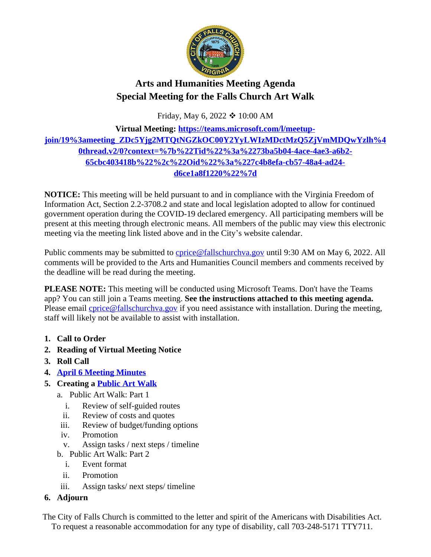

# **Arts and Humanities Meeting Agenda Special Meeting for the Falls Church Art Walk**

Friday, May 6, 2022  $*10:00$  AM

## **Virtual Meeting: [https://teams.microsoft.com/l/meetup](https://teams.microsoft.com/l/meetup-join/19%3ameeting_ZDc5Yjg2MTQtNGZkOC00Y2YyLWIzMDctMzQ5ZjVmMDQwYzlh%40thread.v2/0?context=%7b%22Tid%22%3a%2273ba5b04-4ace-4ae3-a6b2-65cbc403418b%22%2c%22Oid%22%3a%227c4b8efa-cb57-48a4-ad24-d6ce1a8f1220%22%7d)join/19%3ameeting\_ZDc5Yjg2MTQtNGZkOC00Y2YyLWIzMDctMzQ5ZjVmMDQwYzlh%4 0thread.v2/0?context=%7b%22Tid%22%3a%2273ba5b04-4ace-4ae3-a6b2- 65cbc403418b%22%2c%22Oid%22%3a%227c4b8efa-cb57-48a4-ad24 d6ce1a8f1220%22%7d**

**NOTICE:** This meeting will be held pursuant to and in compliance with the Virginia Freedom of Information Act, Section 2.2-3708.2 and state and local legislation adopted to allow for continued government operation during the COVID-19 declared emergency. All participating members will be present at this meeting through electronic means. All members of the public may view this electronic meeting via the meeting link listed above and in the City's website calendar.

Public comments may be submitted to [cprice@fallschurchva.gov](mailto:cprice@fallschurchva.gov) until 9:30 AM on May 6, 2022. All comments will be provided to the Arts and Humanities Council members and comments received by the deadline will be read during the meeting.

**PLEASE NOTE:** This meeting will be conducted using Microsoft Teams. Don't have the Teams app? You can still join a Teams meeting. **See the instructions attached to this meeting agenda.**  Please email *cprice@fallschurchva.gov* if you need assistance with installation. During the meeting, staff will likely not be available to assist with installation.

- **1. Call to Order**
- **2. Reading of Virtual Meeting Notice**
- **3. Roll Call**
- **4. [April 6 Meeting Minutes](https://www.fallschurchva.gov/AgendaCenter/ViewFile/Minutes/_04062022-2036)**
- **5. Creating a [Public Art Walk](https://sites.google.com/view/falls-church-art-walk)**
	- a. Public Art Walk: Part 1
		- i. Review of self-guided routes
		- ii. Review of costs and quotes
	- iii. Review of budget/funding options
	- iv. Promotion
	- v. Assign tasks / next steps / timeline
	- b. Public Art Walk: Part 2
		- i. Event format
		- ii. Promotion
	- iii. Assign tasks/ next steps/ timeline

## **6. Adjourn**

The City of Falls Church is committed to the letter and spirit of the Americans with Disabilities Act. To request a reasonable accommodation for any type of disability, call 703-248-5171 TTY711.